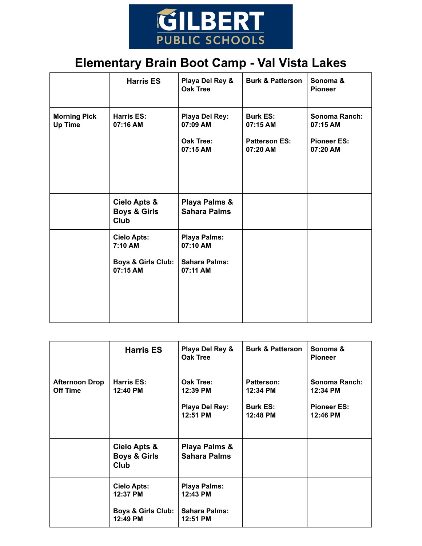

## **Elementary Brain Boot Camp - Val Vista Lakes**

|                                       | <b>Harris ES</b>                                                           | Playa Del Rey &<br><b>Oak Tree</b>                           | <b>Burk &amp; Patterson</b>                                     | Sonoma &<br><b>Pioneer</b>                                  |
|---------------------------------------|----------------------------------------------------------------------------|--------------------------------------------------------------|-----------------------------------------------------------------|-------------------------------------------------------------|
| <b>Morning Pick</b><br><b>Up Time</b> | <b>Harris ES:</b><br>07:16 AM                                              | Playa Del Rey:<br>07:09 AM<br><b>Oak Tree:</b><br>07:15 AM   | <b>Burk ES:</b><br>07:15 AM<br><b>Patterson ES:</b><br>07:20 AM | Sonoma Ranch:<br>07:15 AM<br><b>Pioneer ES:</b><br>07:20 AM |
|                                       | Cielo Apts &<br><b>Boys &amp; Girls</b><br><b>Club</b>                     | Playa Palms &<br><b>Sahara Palms</b>                         |                                                                 |                                                             |
|                                       | <b>Cielo Apts:</b><br>7:10 AM<br><b>Boys &amp; Girls Club:</b><br>07:15 AM | Playa Palms:<br>07:10 AM<br><b>Sahara Palms:</b><br>07:11 AM |                                                                 |                                                             |

|                                          | <b>Harris ES</b>                                | Playa Del Rey &<br>Oak Tree          | <b>Burk &amp; Patterson</b> | Sonoma &<br><b>Pioneer</b>       |
|------------------------------------------|-------------------------------------------------|--------------------------------------|-----------------------------|----------------------------------|
| <b>Afternoon Drop</b><br><b>Off Time</b> | Harris ES:<br>12:40 PM                          | Oak Tree:<br>12:39 PM                | Patterson:<br>12:34 PM      | <b>Sonoma Ranch:</b><br>12:34 PM |
|                                          |                                                 | Playa Del Rey:<br>12:51 PM           | <b>Burk ES:</b><br>12:48 PM | <b>Pioneer ES:</b><br>12:46 PM   |
|                                          | Cielo Apts &<br><b>Boys &amp; Girls</b><br>Club | Playa Palms &<br><b>Sahara Palms</b> |                             |                                  |
|                                          | <b>Cielo Apts:</b><br>12:37 PM                  | <b>Playa Palms:</b><br>12:43 PM      |                             |                                  |
|                                          | <b>Boys &amp; Girls Club:</b><br>12:49 PM       | <b>Sahara Palms:</b><br>12:51 PM     |                             |                                  |